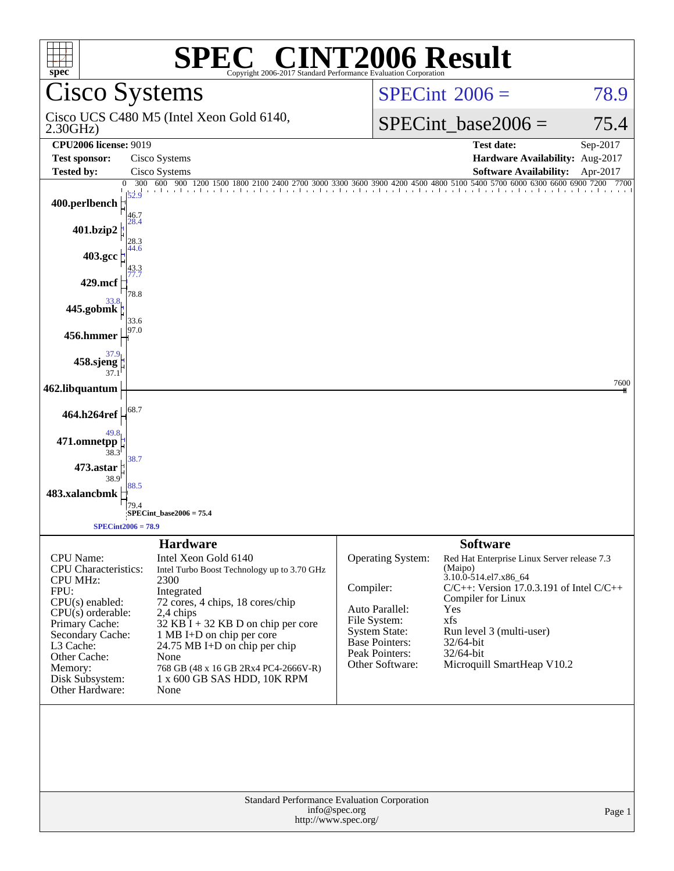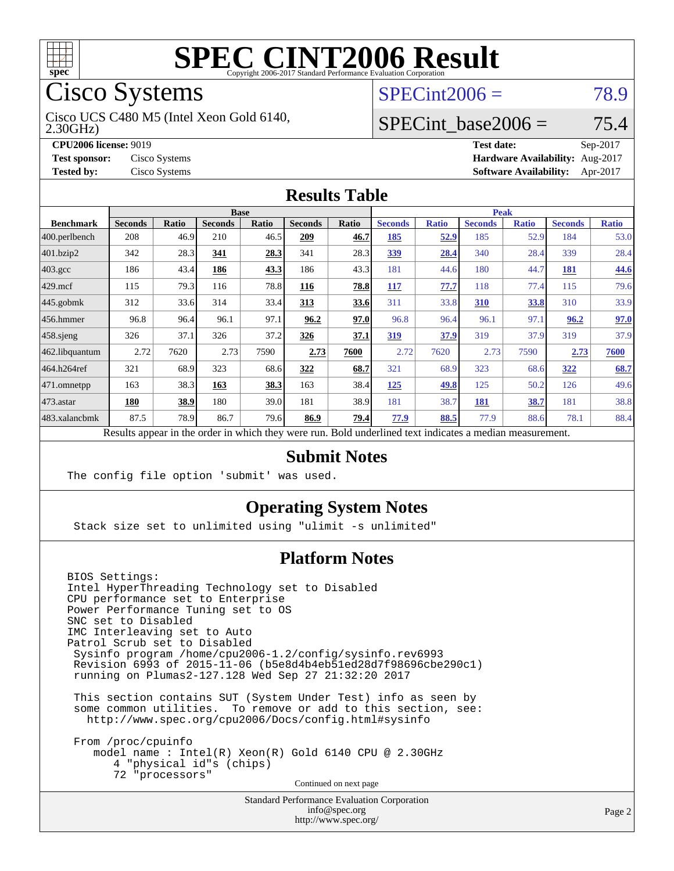

# Cisco Systems

2.30GHz) Cisco UCS C480 M5 (Intel Xeon Gold 6140,

**[Tested by:](http://www.spec.org/auto/cpu2006/Docs/result-fields.html#Testedby)** Cisco Systems **[Software Availability:](http://www.spec.org/auto/cpu2006/Docs/result-fields.html#SoftwareAvailability)** Apr-2017

# $SPECint2006 = 78.9$  $SPECint2006 = 78.9$

#### SPECint base2006 =  $75.4$

**[CPU2006 license:](http://www.spec.org/auto/cpu2006/Docs/result-fields.html#CPU2006license)** 9019 **[Test date:](http://www.spec.org/auto/cpu2006/Docs/result-fields.html#Testdate)** Sep-2017 **[Test sponsor:](http://www.spec.org/auto/cpu2006/Docs/result-fields.html#Testsponsor)** Cisco Systems **[Hardware Availability:](http://www.spec.org/auto/cpu2006/Docs/result-fields.html#HardwareAvailability)** Aug-2017

#### **[Results Table](http://www.spec.org/auto/cpu2006/Docs/result-fields.html#ResultsTable)**

|                    | <b>Base</b>                                                                                              |              |                |       |                |       | <b>Peak</b>    |              |                |              |                |              |
|--------------------|----------------------------------------------------------------------------------------------------------|--------------|----------------|-------|----------------|-------|----------------|--------------|----------------|--------------|----------------|--------------|
| <b>Benchmark</b>   | <b>Seconds</b>                                                                                           | <b>Ratio</b> | <b>Seconds</b> | Ratio | <b>Seconds</b> | Ratio | <b>Seconds</b> | <b>Ratio</b> | <b>Seconds</b> | <b>Ratio</b> | <b>Seconds</b> | <b>Ratio</b> |
| 400.perlbench      | 208                                                                                                      | 46.9         | 210            | 46.5  | 209            | 46.7  | 185            | 52.9         | 185            | 52.9         | 184            | 53.0         |
| 401.bzip2          | 342                                                                                                      | 28.3         | 341            | 28.3  | 341            | 28.3  | 339            | 28.4         | 340            | 28.4         | 339            | 28.4         |
| $403.\mathrm{gcc}$ | 186                                                                                                      | 43.4         | 186            | 43.3  | 186            | 43.3  | 181            | 44.6         | 180            | 44.7         | 181            | 44.6         |
| $429$ mcf          | 115                                                                                                      | 79.3         | 116            | 78.8  | 116            | 78.8  | 117            | 77.7         | 118            | 77.4         | 115            | 79.6         |
| $445$ .gobmk       | 312                                                                                                      | 33.6         | 314            | 33.4  | 313            | 33.6  | 311            | 33.8         | 310            | 33.8         | 310            | 33.9         |
| $456.$ hmmer       | 96.8                                                                                                     | 96.4         | 96.1           | 97.1  | 96.2           | 97.0  | 96.8           | 96.4         | 96.1           | 97.1         | 96.2           | 97.0         |
| $458$ .sjeng       | 326                                                                                                      | 37.1         | 326            | 37.2  | 326            | 37.1  | 319            | 37.9         | 319            | 37.9         | 319            | 37.9         |
| 462.libquantum     | 2.72                                                                                                     | 7620         | 2.73           | 7590  | 2.73           | 7600  | 2.72           | 7620         | 2.73           | 7590         | 2.73           | 7600         |
| 464.h264ref        | 321                                                                                                      | 68.9         | 323            | 68.6  | 322            | 68.7  | 321            | 68.9         | 323            | 68.6         | 322            | 68.7         |
| 471.omnetpp        | 163                                                                                                      | 38.3         | 163            | 38.3  | 163            | 38.4  | 125            | 49.8         | 125            | 50.2         | 126            | 49.6         |
| 473.astar          | 180                                                                                                      | 38.9         | 180            | 39.0  | 181            | 38.9  | 181            | 38.7         | 181            | 38.7         | 181            | 38.8         |
| 483.xalancbmk      | 87.5                                                                                                     | 78.9         | 86.7           | 79.6  | 86.9           | 79.4  | 77.9           | 88.5         | 77.9           | 88.6         | 78.1           | 88.4         |
|                    | Results appear in the order in which they were run. Bold underlined text indicates a median measurement. |              |                |       |                |       |                |              |                |              |                |              |

#### **[Submit Notes](http://www.spec.org/auto/cpu2006/Docs/result-fields.html#SubmitNotes)**

The config file option 'submit' was used.

#### **[Operating System Notes](http://www.spec.org/auto/cpu2006/Docs/result-fields.html#OperatingSystemNotes)**

Stack size set to unlimited using "ulimit -s unlimited"

#### **[Platform Notes](http://www.spec.org/auto/cpu2006/Docs/result-fields.html#PlatformNotes)**

BIOS Settings: Intel HyperThreading Technology set to Disabled CPU performance set to Enterprise Power Performance Tuning set to OS SNC set to Disabled IMC Interleaving set to Auto Patrol Scrub set to Disabled Sysinfo program /home/cpu2006-1.2/config/sysinfo.rev6993 Revision 6993 of 2015-11-06 (b5e8d4b4eb51ed28d7f98696cbe290c1) running on Plumas2-127.128 Wed Sep 27 21:32:20 2017 This section contains SUT (System Under Test) info as seen by

 some common utilities. To remove or add to this section, see: <http://www.spec.org/cpu2006/Docs/config.html#sysinfo>

 From /proc/cpuinfo model name : Intel(R) Xeon(R) Gold 6140 CPU @ 2.30GHz 4 "physical id"s (chips) 72 "processors" Continued on next page

> Standard Performance Evaluation Corporation [info@spec.org](mailto:info@spec.org) <http://www.spec.org/>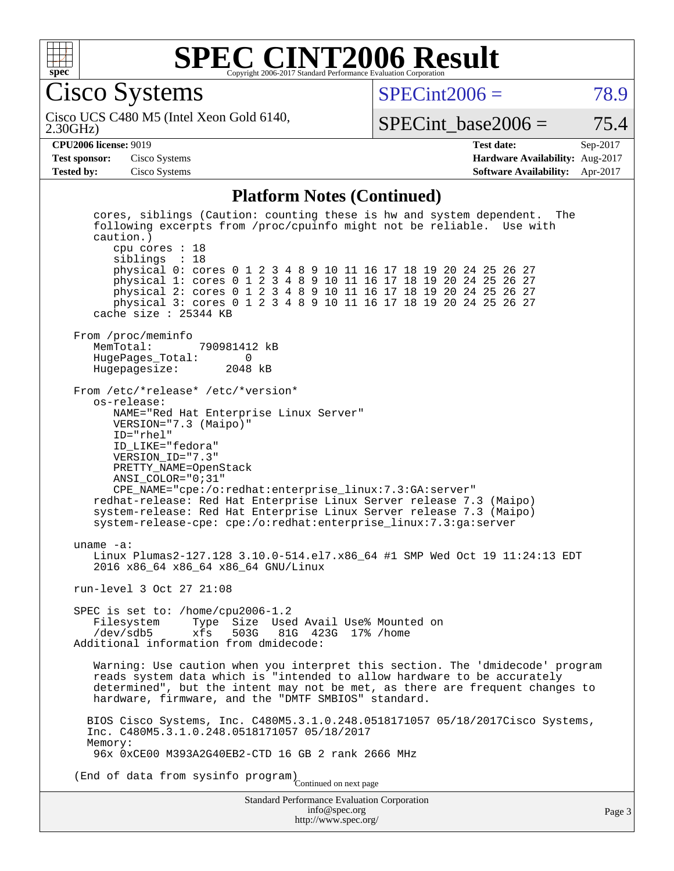

Cisco Systems

 $SPECint2006 = 78.9$  $SPECint2006 = 78.9$ 

2.30GHz) Cisco UCS C480 M5 (Intel Xeon Gold 6140,

SPECint base2006 =  $75.4$ 

#### **[CPU2006 license:](http://www.spec.org/auto/cpu2006/Docs/result-fields.html#CPU2006license)** 9019 **[Test date:](http://www.spec.org/auto/cpu2006/Docs/result-fields.html#Testdate)** Sep-2017

**[Test sponsor:](http://www.spec.org/auto/cpu2006/Docs/result-fields.html#Testsponsor)** Cisco Systems **[Hardware Availability:](http://www.spec.org/auto/cpu2006/Docs/result-fields.html#HardwareAvailability)** Aug-2017 **[Tested by:](http://www.spec.org/auto/cpu2006/Docs/result-fields.html#Testedby)** Cisco Systems **[Software Availability:](http://www.spec.org/auto/cpu2006/Docs/result-fields.html#SoftwareAvailability)** Apr-2017

#### **[Platform Notes \(Continued\)](http://www.spec.org/auto/cpu2006/Docs/result-fields.html#PlatformNotes)**

Standard Performance Evaluation Corporation [info@spec.org](mailto:info@spec.org) cores, siblings (Caution: counting these is hw and system dependent. The following excerpts from /proc/cpuinfo might not be reliable. Use with caution.) cpu cores : 18 siblings : 18 physical 0: cores 0 1 2 3 4 8 9 10 11 16 17 18 19 20 24 25 26 27 physical 1: cores 0 1 2 3 4 8 9 10 11 16 17 18 19 20 24 25 26 27 physical 2: cores 0 1 2 3 4 8 9 10 11 16 17 18 19 20 24 25 26 27 physical 3: cores 0 1 2 3 4 8 9 10 11 16 17 18 19 20 24 25 26 27 cache size : 25344 KB From /proc/meminfo MemTotal: 790981412 kB HugePages\_Total: 0<br>Hugepagesize: 2048 kB Hugepagesize: From /etc/\*release\* /etc/\*version\* os-release: NAME="Red Hat Enterprise Linux Server" VERSION="7.3 (Maipo)" ID="rhel" ID\_LIKE="fedora" VERSION\_ID="7.3" PRETTY\_NAME=OpenStack ANSI\_COLOR="0;31" CPE\_NAME="cpe:/o:redhat:enterprise\_linux:7.3:GA:server" redhat-release: Red Hat Enterprise Linux Server release 7.3 (Maipo) system-release: Red Hat Enterprise Linux Server release 7.3 (Maipo) system-release-cpe: cpe:/o:redhat:enterprise\_linux:7.3:ga:server uname -a: Linux Plumas2-127.128 3.10.0-514.el7.x86\_64 #1 SMP Wed Oct 19 11:24:13 EDT 2016 x86\_64 x86\_64 x86\_64 GNU/Linux run-level 3 Oct 27 21:08 SPEC is set to: /home/cpu2006-1.2<br>Filesystem Type Size Use Filesystem Type Size Used Avail Use% Mounted on<br>/dev/sdb5 xfs 503G 81G 423G 17% /home 81G 423G 17% /home Additional information from dmidecode: Warning: Use caution when you interpret this section. The 'dmidecode' program reads system data which is "intended to allow hardware to be accurately determined", but the intent may not be met, as there are frequent changes to hardware, firmware, and the "DMTF SMBIOS" standard. BIOS Cisco Systems, Inc. C480M5.3.1.0.248.0518171057 05/18/2017Cisco Systems, Inc. C480M5.3.1.0.248.0518171057 05/18/2017 Memory: 96x 0xCE00 M393A2G40EB2-CTD 16 GB 2 rank 2666 MHz (End of data from sysinfo program) Continued on next page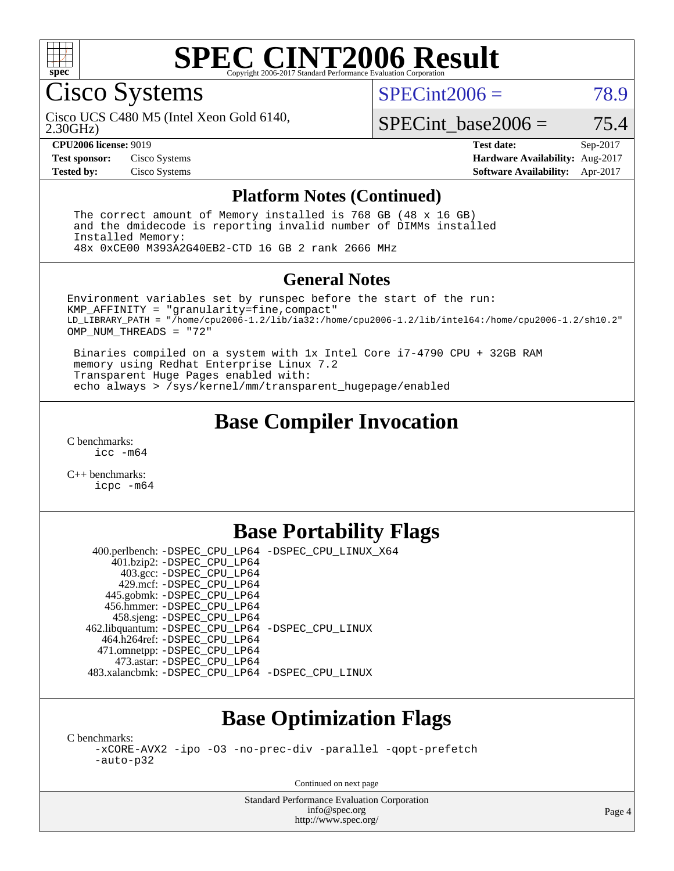

#### **[SPEC CINT2006 Result](http://www.spec.org/auto/cpu2006/Docs/result-fields.html#SPECCINT2006Result)** Copyright 2006-2017 Standard Performance Evaluation C

Cisco Systems

 $SPECint2006 = 78.9$  $SPECint2006 = 78.9$ 

2.30GHz) Cisco UCS C480 M5 (Intel Xeon Gold 6140,

 $SPECTnt\_base2006 = 75.4$ 

**[CPU2006 license:](http://www.spec.org/auto/cpu2006/Docs/result-fields.html#CPU2006license)** 9019 **[Test date:](http://www.spec.org/auto/cpu2006/Docs/result-fields.html#Testdate)** Sep-2017 **[Test sponsor:](http://www.spec.org/auto/cpu2006/Docs/result-fields.html#Testsponsor)** Cisco Systems **[Hardware Availability:](http://www.spec.org/auto/cpu2006/Docs/result-fields.html#HardwareAvailability)** Aug-2017 **[Tested by:](http://www.spec.org/auto/cpu2006/Docs/result-fields.html#Testedby)** Cisco Systems **[Software Availability:](http://www.spec.org/auto/cpu2006/Docs/result-fields.html#SoftwareAvailability)** Apr-2017

#### **[Platform Notes \(Continued\)](http://www.spec.org/auto/cpu2006/Docs/result-fields.html#PlatformNotes)**

 The correct amount of Memory installed is 768 GB (48 x 16 GB) and the dmidecode is reporting invalid number of DIMMs installed Installed Memory: 48x 0xCE00 M393A2G40EB2-CTD 16 GB 2 rank 2666 MHz

#### **[General Notes](http://www.spec.org/auto/cpu2006/Docs/result-fields.html#GeneralNotes)**

Environment variables set by runspec before the start of the run: KMP\_AFFINITY = "granularity=fine,compact" LD\_LIBRARY\_PATH = "/home/cpu2006-1.2/lib/ia32:/home/cpu2006-1.2/lib/intel64:/home/cpu2006-1.2/sh10.2" OMP NUM THREADS = "72"

 Binaries compiled on a system with 1x Intel Core i7-4790 CPU + 32GB RAM memory using Redhat Enterprise Linux 7.2 Transparent Huge Pages enabled with: echo always > /sys/kernel/mm/transparent\_hugepage/enabled

### **[Base Compiler Invocation](http://www.spec.org/auto/cpu2006/Docs/result-fields.html#BaseCompilerInvocation)**

[C benchmarks](http://www.spec.org/auto/cpu2006/Docs/result-fields.html#Cbenchmarks): [icc -m64](http://www.spec.org/cpu2006/results/res2017q4/cpu2006-20171003-50269.flags.html#user_CCbase_intel_icc_64bit_bda6cc9af1fdbb0edc3795bac97ada53)

[C++ benchmarks:](http://www.spec.org/auto/cpu2006/Docs/result-fields.html#CXXbenchmarks) [icpc -m64](http://www.spec.org/cpu2006/results/res2017q4/cpu2006-20171003-50269.flags.html#user_CXXbase_intel_icpc_64bit_fc66a5337ce925472a5c54ad6a0de310)

## **[Base Portability Flags](http://www.spec.org/auto/cpu2006/Docs/result-fields.html#BasePortabilityFlags)**

 400.perlbench: [-DSPEC\\_CPU\\_LP64](http://www.spec.org/cpu2006/results/res2017q4/cpu2006-20171003-50269.flags.html#b400.perlbench_basePORTABILITY_DSPEC_CPU_LP64) [-DSPEC\\_CPU\\_LINUX\\_X64](http://www.spec.org/cpu2006/results/res2017q4/cpu2006-20171003-50269.flags.html#b400.perlbench_baseCPORTABILITY_DSPEC_CPU_LINUX_X64) 401.bzip2: [-DSPEC\\_CPU\\_LP64](http://www.spec.org/cpu2006/results/res2017q4/cpu2006-20171003-50269.flags.html#suite_basePORTABILITY401_bzip2_DSPEC_CPU_LP64) 403.gcc: [-DSPEC\\_CPU\\_LP64](http://www.spec.org/cpu2006/results/res2017q4/cpu2006-20171003-50269.flags.html#suite_basePORTABILITY403_gcc_DSPEC_CPU_LP64) 429.mcf: [-DSPEC\\_CPU\\_LP64](http://www.spec.org/cpu2006/results/res2017q4/cpu2006-20171003-50269.flags.html#suite_basePORTABILITY429_mcf_DSPEC_CPU_LP64) 445.gobmk: [-DSPEC\\_CPU\\_LP64](http://www.spec.org/cpu2006/results/res2017q4/cpu2006-20171003-50269.flags.html#suite_basePORTABILITY445_gobmk_DSPEC_CPU_LP64) 456.hmmer: [-DSPEC\\_CPU\\_LP64](http://www.spec.org/cpu2006/results/res2017q4/cpu2006-20171003-50269.flags.html#suite_basePORTABILITY456_hmmer_DSPEC_CPU_LP64) 458.sjeng: [-DSPEC\\_CPU\\_LP64](http://www.spec.org/cpu2006/results/res2017q4/cpu2006-20171003-50269.flags.html#suite_basePORTABILITY458_sjeng_DSPEC_CPU_LP64) 462.libquantum: [-DSPEC\\_CPU\\_LP64](http://www.spec.org/cpu2006/results/res2017q4/cpu2006-20171003-50269.flags.html#suite_basePORTABILITY462_libquantum_DSPEC_CPU_LP64) [-DSPEC\\_CPU\\_LINUX](http://www.spec.org/cpu2006/results/res2017q4/cpu2006-20171003-50269.flags.html#b462.libquantum_baseCPORTABILITY_DSPEC_CPU_LINUX) 464.h264ref: [-DSPEC\\_CPU\\_LP64](http://www.spec.org/cpu2006/results/res2017q4/cpu2006-20171003-50269.flags.html#suite_basePORTABILITY464_h264ref_DSPEC_CPU_LP64) 471.omnetpp: [-DSPEC\\_CPU\\_LP64](http://www.spec.org/cpu2006/results/res2017q4/cpu2006-20171003-50269.flags.html#suite_basePORTABILITY471_omnetpp_DSPEC_CPU_LP64) 473.astar: [-DSPEC\\_CPU\\_LP64](http://www.spec.org/cpu2006/results/res2017q4/cpu2006-20171003-50269.flags.html#suite_basePORTABILITY473_astar_DSPEC_CPU_LP64) 483.xalancbmk: [-DSPEC\\_CPU\\_LP64](http://www.spec.org/cpu2006/results/res2017q4/cpu2006-20171003-50269.flags.html#suite_basePORTABILITY483_xalancbmk_DSPEC_CPU_LP64) [-DSPEC\\_CPU\\_LINUX](http://www.spec.org/cpu2006/results/res2017q4/cpu2006-20171003-50269.flags.html#b483.xalancbmk_baseCXXPORTABILITY_DSPEC_CPU_LINUX)

## **[Base Optimization Flags](http://www.spec.org/auto/cpu2006/Docs/result-fields.html#BaseOptimizationFlags)**

[C benchmarks](http://www.spec.org/auto/cpu2006/Docs/result-fields.html#Cbenchmarks):

[-xCORE-AVX2](http://www.spec.org/cpu2006/results/res2017q4/cpu2006-20171003-50269.flags.html#user_CCbase_f-xCORE-AVX2) [-ipo](http://www.spec.org/cpu2006/results/res2017q4/cpu2006-20171003-50269.flags.html#user_CCbase_f-ipo) [-O3](http://www.spec.org/cpu2006/results/res2017q4/cpu2006-20171003-50269.flags.html#user_CCbase_f-O3) [-no-prec-div](http://www.spec.org/cpu2006/results/res2017q4/cpu2006-20171003-50269.flags.html#user_CCbase_f-no-prec-div) [-parallel](http://www.spec.org/cpu2006/results/res2017q4/cpu2006-20171003-50269.flags.html#user_CCbase_f-parallel) [-qopt-prefetch](http://www.spec.org/cpu2006/results/res2017q4/cpu2006-20171003-50269.flags.html#user_CCbase_f-qopt-prefetch) [-auto-p32](http://www.spec.org/cpu2006/results/res2017q4/cpu2006-20171003-50269.flags.html#user_CCbase_f-auto-p32)

Continued on next page

Standard Performance Evaluation Corporation [info@spec.org](mailto:info@spec.org) <http://www.spec.org/>

Page 4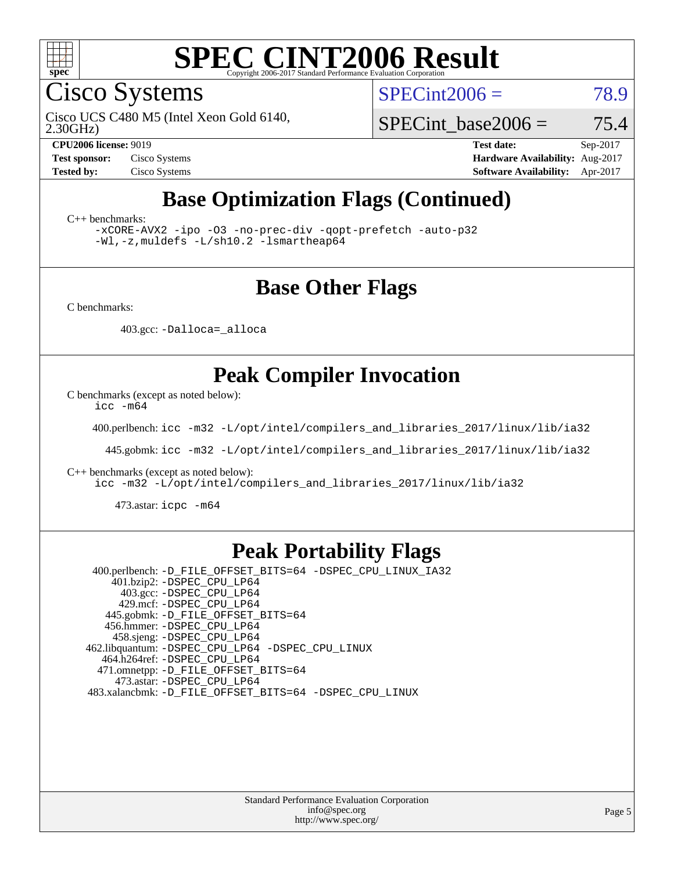

Cisco Systems

 $SPECint2006 = 78.9$  $SPECint2006 = 78.9$ 

2.30GHz) Cisco UCS C480 M5 (Intel Xeon Gold 6140,

SPECint base2006 =  $75.4$ 

**[CPU2006 license:](http://www.spec.org/auto/cpu2006/Docs/result-fields.html#CPU2006license)** 9019 **[Test date:](http://www.spec.org/auto/cpu2006/Docs/result-fields.html#Testdate)** Sep-2017 **[Test sponsor:](http://www.spec.org/auto/cpu2006/Docs/result-fields.html#Testsponsor)** Cisco Systems **[Hardware Availability:](http://www.spec.org/auto/cpu2006/Docs/result-fields.html#HardwareAvailability)** Aug-2017 **[Tested by:](http://www.spec.org/auto/cpu2006/Docs/result-fields.html#Testedby)** Cisco Systems **[Software Availability:](http://www.spec.org/auto/cpu2006/Docs/result-fields.html#SoftwareAvailability)** Apr-2017

# **[Base Optimization Flags \(Continued\)](http://www.spec.org/auto/cpu2006/Docs/result-fields.html#BaseOptimizationFlags)**

[C++ benchmarks:](http://www.spec.org/auto/cpu2006/Docs/result-fields.html#CXXbenchmarks)

[-xCORE-AVX2](http://www.spec.org/cpu2006/results/res2017q4/cpu2006-20171003-50269.flags.html#user_CXXbase_f-xCORE-AVX2) [-ipo](http://www.spec.org/cpu2006/results/res2017q4/cpu2006-20171003-50269.flags.html#user_CXXbase_f-ipo) [-O3](http://www.spec.org/cpu2006/results/res2017q4/cpu2006-20171003-50269.flags.html#user_CXXbase_f-O3) [-no-prec-div](http://www.spec.org/cpu2006/results/res2017q4/cpu2006-20171003-50269.flags.html#user_CXXbase_f-no-prec-div) [-qopt-prefetch](http://www.spec.org/cpu2006/results/res2017q4/cpu2006-20171003-50269.flags.html#user_CXXbase_f-qopt-prefetch) [-auto-p32](http://www.spec.org/cpu2006/results/res2017q4/cpu2006-20171003-50269.flags.html#user_CXXbase_f-auto-p32) [-Wl,-z,muldefs](http://www.spec.org/cpu2006/results/res2017q4/cpu2006-20171003-50269.flags.html#user_CXXbase_link_force_multiple1_74079c344b956b9658436fd1b6dd3a8a) [-L/sh10.2 -lsmartheap64](http://www.spec.org/cpu2006/results/res2017q4/cpu2006-20171003-50269.flags.html#user_CXXbase_SmartHeap64_63911d860fc08c15fa1d5bf319b9d8d5)

### **[Base Other Flags](http://www.spec.org/auto/cpu2006/Docs/result-fields.html#BaseOtherFlags)**

[C benchmarks](http://www.spec.org/auto/cpu2006/Docs/result-fields.html#Cbenchmarks):

403.gcc: [-Dalloca=\\_alloca](http://www.spec.org/cpu2006/results/res2017q4/cpu2006-20171003-50269.flags.html#b403.gcc_baseEXTRA_CFLAGS_Dalloca_be3056838c12de2578596ca5467af7f3)

### **[Peak Compiler Invocation](http://www.spec.org/auto/cpu2006/Docs/result-fields.html#PeakCompilerInvocation)**

[C benchmarks \(except as noted below\)](http://www.spec.org/auto/cpu2006/Docs/result-fields.html#Cbenchmarksexceptasnotedbelow):

[icc -m64](http://www.spec.org/cpu2006/results/res2017q4/cpu2006-20171003-50269.flags.html#user_CCpeak_intel_icc_64bit_bda6cc9af1fdbb0edc3795bac97ada53)

400.perlbench: [icc -m32 -L/opt/intel/compilers\\_and\\_libraries\\_2017/linux/lib/ia32](http://www.spec.org/cpu2006/results/res2017q4/cpu2006-20171003-50269.flags.html#user_peakCCLD400_perlbench_intel_icc_c29f3ff5a7ed067b11e4ec10a03f03ae)

445.gobmk: [icc -m32 -L/opt/intel/compilers\\_and\\_libraries\\_2017/linux/lib/ia32](http://www.spec.org/cpu2006/results/res2017q4/cpu2006-20171003-50269.flags.html#user_peakCCLD445_gobmk_intel_icc_c29f3ff5a7ed067b11e4ec10a03f03ae)

[C++ benchmarks \(except as noted below\):](http://www.spec.org/auto/cpu2006/Docs/result-fields.html#CXXbenchmarksexceptasnotedbelow)

[icc -m32 -L/opt/intel/compilers\\_and\\_libraries\\_2017/linux/lib/ia32](http://www.spec.org/cpu2006/results/res2017q4/cpu2006-20171003-50269.flags.html#user_CXXpeak_intel_icc_c29f3ff5a7ed067b11e4ec10a03f03ae)

473.astar: [icpc -m64](http://www.spec.org/cpu2006/results/res2017q4/cpu2006-20171003-50269.flags.html#user_peakCXXLD473_astar_intel_icpc_64bit_fc66a5337ce925472a5c54ad6a0de310)

### **[Peak Portability Flags](http://www.spec.org/auto/cpu2006/Docs/result-fields.html#PeakPortabilityFlags)**

 400.perlbench: [-D\\_FILE\\_OFFSET\\_BITS=64](http://www.spec.org/cpu2006/results/res2017q4/cpu2006-20171003-50269.flags.html#user_peakPORTABILITY400_perlbench_file_offset_bits_64_438cf9856305ebd76870a2c6dc2689ab) [-DSPEC\\_CPU\\_LINUX\\_IA32](http://www.spec.org/cpu2006/results/res2017q4/cpu2006-20171003-50269.flags.html#b400.perlbench_peakCPORTABILITY_DSPEC_CPU_LINUX_IA32) 401.bzip2: [-DSPEC\\_CPU\\_LP64](http://www.spec.org/cpu2006/results/res2017q4/cpu2006-20171003-50269.flags.html#suite_peakPORTABILITY401_bzip2_DSPEC_CPU_LP64) 403.gcc: [-DSPEC\\_CPU\\_LP64](http://www.spec.org/cpu2006/results/res2017q4/cpu2006-20171003-50269.flags.html#suite_peakPORTABILITY403_gcc_DSPEC_CPU_LP64) 429.mcf: [-DSPEC\\_CPU\\_LP64](http://www.spec.org/cpu2006/results/res2017q4/cpu2006-20171003-50269.flags.html#suite_peakPORTABILITY429_mcf_DSPEC_CPU_LP64) 445.gobmk: [-D\\_FILE\\_OFFSET\\_BITS=64](http://www.spec.org/cpu2006/results/res2017q4/cpu2006-20171003-50269.flags.html#user_peakPORTABILITY445_gobmk_file_offset_bits_64_438cf9856305ebd76870a2c6dc2689ab) 456.hmmer: [-DSPEC\\_CPU\\_LP64](http://www.spec.org/cpu2006/results/res2017q4/cpu2006-20171003-50269.flags.html#suite_peakPORTABILITY456_hmmer_DSPEC_CPU_LP64) 458.sjeng: [-DSPEC\\_CPU\\_LP64](http://www.spec.org/cpu2006/results/res2017q4/cpu2006-20171003-50269.flags.html#suite_peakPORTABILITY458_sjeng_DSPEC_CPU_LP64) 462.libquantum: [-DSPEC\\_CPU\\_LP64](http://www.spec.org/cpu2006/results/res2017q4/cpu2006-20171003-50269.flags.html#suite_peakPORTABILITY462_libquantum_DSPEC_CPU_LP64) [-DSPEC\\_CPU\\_LINUX](http://www.spec.org/cpu2006/results/res2017q4/cpu2006-20171003-50269.flags.html#b462.libquantum_peakCPORTABILITY_DSPEC_CPU_LINUX) 464.h264ref: [-DSPEC\\_CPU\\_LP64](http://www.spec.org/cpu2006/results/res2017q4/cpu2006-20171003-50269.flags.html#suite_peakPORTABILITY464_h264ref_DSPEC_CPU_LP64) 471.omnetpp: [-D\\_FILE\\_OFFSET\\_BITS=64](http://www.spec.org/cpu2006/results/res2017q4/cpu2006-20171003-50269.flags.html#user_peakPORTABILITY471_omnetpp_file_offset_bits_64_438cf9856305ebd76870a2c6dc2689ab) 473.astar: [-DSPEC\\_CPU\\_LP64](http://www.spec.org/cpu2006/results/res2017q4/cpu2006-20171003-50269.flags.html#suite_peakPORTABILITY473_astar_DSPEC_CPU_LP64) 483.xalancbmk: [-D\\_FILE\\_OFFSET\\_BITS=64](http://www.spec.org/cpu2006/results/res2017q4/cpu2006-20171003-50269.flags.html#user_peakPORTABILITY483_xalancbmk_file_offset_bits_64_438cf9856305ebd76870a2c6dc2689ab) [-DSPEC\\_CPU\\_LINUX](http://www.spec.org/cpu2006/results/res2017q4/cpu2006-20171003-50269.flags.html#b483.xalancbmk_peakCXXPORTABILITY_DSPEC_CPU_LINUX)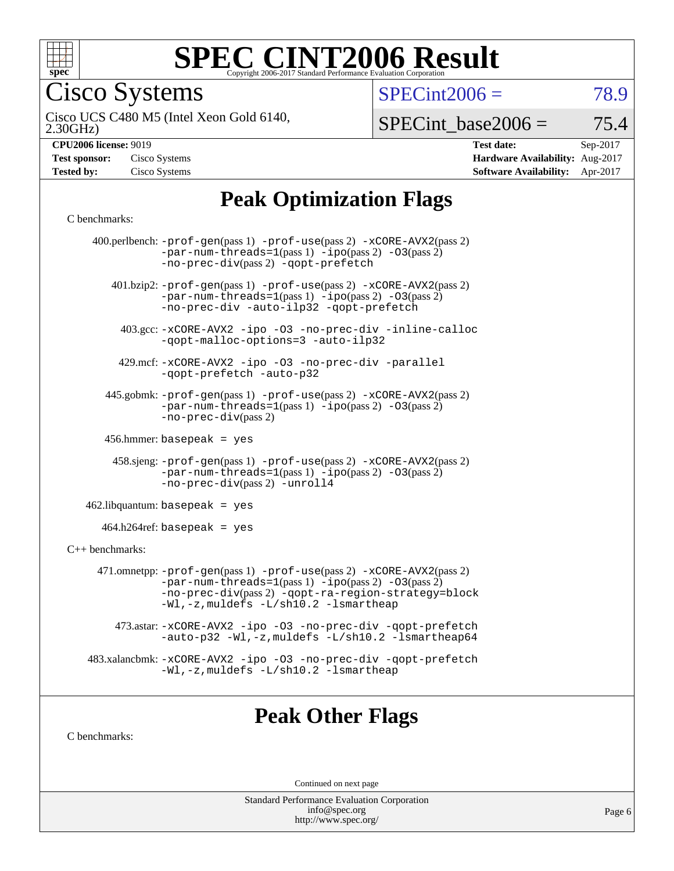

Cisco Systems

 $SPECint2006 = 78.9$  $SPECint2006 = 78.9$ 

2.30GHz) Cisco UCS C480 M5 (Intel Xeon Gold 6140,

 $SPECTnt\_base2006 = 75.4$ 

| <b>CPU2006 license: 9019</b> |  |
|------------------------------|--|
|                              |  |

| <b>Test sponsor:</b> | Cisco Systems |
|----------------------|---------------|
| <b>Tested by:</b>    | Cisco Systems |

**[CPU2006 license:](http://www.spec.org/auto/cpu2006/Docs/result-fields.html#CPU2006license)** 9019 **[Test date:](http://www.spec.org/auto/cpu2006/Docs/result-fields.html#Testdate)** Sep-2017 **[Hardware Availability:](http://www.spec.org/auto/cpu2006/Docs/result-fields.html#HardwareAvailability)** Aug-2017 **[Software Availability:](http://www.spec.org/auto/cpu2006/Docs/result-fields.html#SoftwareAvailability)** Apr-2017

# **[Peak Optimization Flags](http://www.spec.org/auto/cpu2006/Docs/result-fields.html#PeakOptimizationFlags)**

#### [C benchmarks](http://www.spec.org/auto/cpu2006/Docs/result-fields.html#Cbenchmarks):

|                   | 400.perlbench: -prof-gen(pass 1) -prof-use(pass 2) -xCORE-AVX2(pass 2)<br>$-par-num-threads=1(pass 1) -ipo(pass 2) -03(pass 2)$<br>-no-prec-div(pass 2) -qopt-prefetch                                                        |
|-------------------|-------------------------------------------------------------------------------------------------------------------------------------------------------------------------------------------------------------------------------|
|                   | 401.bzip2: -prof-gen(pass 1) -prof-use(pass 2) -xCORE-AVX2(pass 2)<br>$-par-num-threads=1(pass 1) -ipo(pass 2) -03(pass 2)$<br>-no-prec-div -auto-ilp32 -qopt-prefetch                                                        |
|                   | 403.gcc: -xCORE-AVX2 -ipo -03 -no-prec-div -inline-calloc<br>-qopt-malloc-options=3 -auto-ilp32                                                                                                                               |
|                   | 429.mcf: -xCORE-AVX2 -ipo -03 -no-prec-div -parallel<br>-gopt-prefetch -auto-p32                                                                                                                                              |
|                   | 445.gobmk: -prof-gen(pass 1) -prof-use(pass 2) -xCORE-AVX2(pass 2)<br>$-par-num-threads=1(pass 1) -ipo(pass 2) -03(pass 2)$<br>$-no-prec-div(pass 2)$                                                                         |
|                   | 456.hmmer: basepeak = $yes$                                                                                                                                                                                                   |
|                   | $458 \text{.}$ sjeng: $-\text{prof-gen(pass 1)} - \text{prof-use(pass 2)} - \text{xCORE-AVX2(pass 2)}$<br>-par-num-threads=1(pass 1) -ipo(pass 2) -03(pass 2)<br>-no-prec-div(pass 2) -unroll4                                |
|                   | $462$ .libquantum: basepeak = yes                                                                                                                                                                                             |
|                   | $464.h264 \text{ref}$ : basepeak = yes                                                                                                                                                                                        |
| $C++$ benchmarks: |                                                                                                                                                                                                                               |
|                   | 471.omnetpp: -prof-gen(pass 1) -prof-use(pass 2) -xCORE-AVX2(pass 2)<br>$-par-num-threads=1(pass 1) -ipo(pass 2) -03(pass 2)$<br>-no-prec-div(pass 2) -gopt-ra-region-strategy=block<br>-Wl,-z, muldefs -L/sh10.2 -lsmartheap |
|                   | 473.astar: -xCORE-AVX2 -ipo -03 -no-prec-div -qopt-prefetch<br>-auto-p32 -Wl,-z, muldefs -L/sh10.2 -lsmartheap64                                                                                                              |
|                   | 483.xalancbmk: -xCORE-AVX2 -ipo -03 -no-prec-div -qopt-prefetch<br>-Wl,-z, muldefs -L/sh10.2 -lsmartheap                                                                                                                      |
|                   |                                                                                                                                                                                                                               |

### **[Peak Other Flags](http://www.spec.org/auto/cpu2006/Docs/result-fields.html#PeakOtherFlags)**

[C benchmarks](http://www.spec.org/auto/cpu2006/Docs/result-fields.html#Cbenchmarks):

Continued on next page

Standard Performance Evaluation Corporation [info@spec.org](mailto:info@spec.org) <http://www.spec.org/>